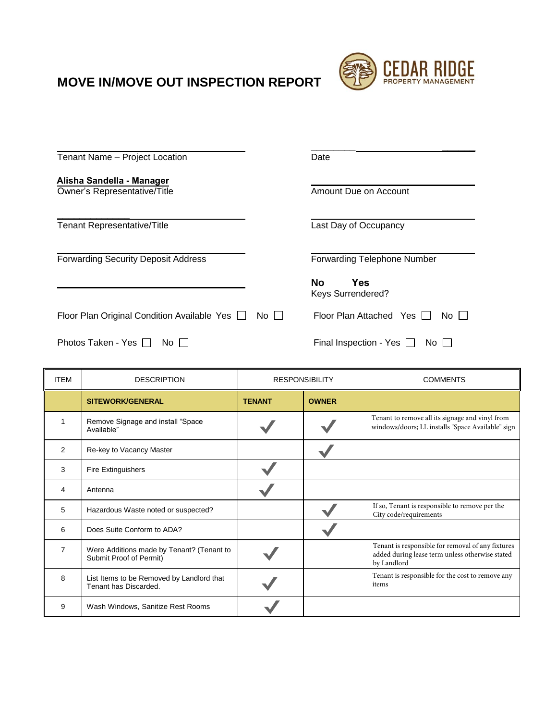## **MOVE IN/MOVE OUT INSPECTION REPORT**

 $\mathbf{r}$ 



| Tenant Name - Project Location                            | Date                                          |
|-----------------------------------------------------------|-----------------------------------------------|
| Alisha Sandella - Manager<br>Owner's Representative/Title | Amount Due on Account                         |
| Tenant Representative/Title                               | Last Day of Occupancy                         |
| <b>Forwarding Security Deposit Address</b>                | <b>Forwarding Telephone Number</b>            |
|                                                           | <b>Yes</b><br>No.<br><b>Keys Surrendered?</b> |
| Floor Plan Original Condition Available Yes [<br>No II    | Floor Plan Attached Yes I<br>No II            |
| Photos Taken - Yes    <br>No.                             | Final Inspection - Yes [<br>No II             |

| <b>ITEM</b> | <b>DESCRIPTION</b>                                                   | <b>RESPONSIBILITY</b> |              | <b>COMMENTS</b>                                                                                                     |
|-------------|----------------------------------------------------------------------|-----------------------|--------------|---------------------------------------------------------------------------------------------------------------------|
|             | <b>SITEWORK/GENERAL</b>                                              | <b>TENANT</b>         | <b>OWNER</b> |                                                                                                                     |
| 1           | Remove Signage and install "Space<br>Available"                      |                       |              | Tenant to remove all its signage and vinyl from<br>windows/doors; LL installs "Space Available" sign                |
| 2           | Re-key to Vacancy Master                                             |                       |              |                                                                                                                     |
| 3           | <b>Fire Extinguishers</b>                                            |                       |              |                                                                                                                     |
| 4           | Antenna                                                              |                       |              |                                                                                                                     |
| 5           | Hazardous Waste noted or suspected?                                  |                       |              | If so, Tenant is responsible to remove per the<br>City code/requirements                                            |
| 6           | Does Suite Conform to ADA?                                           |                       |              |                                                                                                                     |
| 7           | Were Additions made by Tenant? (Tenant to<br>Submit Proof of Permit) |                       |              | Tenant is responsible for removal of any fixtures<br>added during lease term unless otherwise stated<br>by Landlord |
| 8           | List Items to be Removed by Landlord that<br>Tenant has Discarded.   |                       |              | Tenant is responsible for the cost to remove any<br>items                                                           |
| 9           | Wash Windows, Sanitize Rest Rooms                                    |                       |              |                                                                                                                     |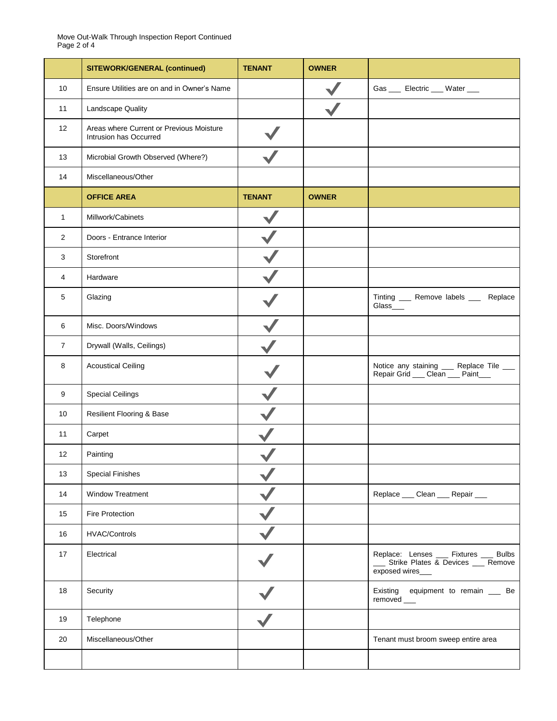|                | <b>SITEWORK/GENERAL (continued)</b>                                | <b>TENANT</b> | <b>OWNER</b> |                                                                                               |
|----------------|--------------------------------------------------------------------|---------------|--------------|-----------------------------------------------------------------------------------------------|
| 10             | Ensure Utilities are on and in Owner's Name                        |               |              | Gas ____ Electric ___ Water ___                                                               |
| 11             | Landscape Quality                                                  |               |              |                                                                                               |
| 12             | Areas where Current or Previous Moisture<br>Intrusion has Occurred |               |              |                                                                                               |
| 13             | Microbial Growth Observed (Where?)                                 |               |              |                                                                                               |
| 14             | Miscellaneous/Other                                                |               |              |                                                                                               |
|                | <b>OFFICE AREA</b>                                                 | <b>TENANT</b> | <b>OWNER</b> |                                                                                               |
| $\mathbf{1}$   | Millwork/Cabinets                                                  |               |              |                                                                                               |
| 2              | Doors - Entrance Interior                                          |               |              |                                                                                               |
| 3              | Storefront                                                         |               |              |                                                                                               |
| 4              | Hardware                                                           |               |              |                                                                                               |
| 5              | Glazing                                                            |               |              | Tinting ____ Remove labels ____ Replace<br>Glass_                                             |
| 6              | Misc. Doors/Windows                                                |               |              |                                                                                               |
| $\overline{7}$ | Drywall (Walls, Ceilings)                                          |               |              |                                                                                               |
| 8              | <b>Acoustical Ceiling</b>                                          |               |              | Notice any staining ___ Replace Tile ___<br>Repair Grid __ Clean __ Paint___                  |
| 9              | <b>Special Ceilings</b>                                            |               |              |                                                                                               |
| 10             | Resilient Flooring & Base                                          |               |              |                                                                                               |
| 11             | Carpet                                                             |               |              |                                                                                               |
| 12             | Painting                                                           |               |              |                                                                                               |
| 13             | <b>Special Finishes</b>                                            |               |              |                                                                                               |
| 14             | Window Treatment                                                   |               |              | Replace ___ Clean ___ Repair ___                                                              |
| 15             | Fire Protection                                                    |               |              |                                                                                               |
| 16             | <b>HVAC/Controls</b>                                               |               |              |                                                                                               |
| 17             | Electrical                                                         |               |              | Replace: Lenses __ Fixtures __ Bulbs<br>Strike Plates & Devices __ Remove<br>exposed wires___ |
| 18             | Security                                                           |               |              | Existing equipment to remain __ Be<br>removed ___                                             |
| 19             | Telephone                                                          |               |              |                                                                                               |
| 20             | Miscellaneous/Other                                                |               |              | Tenant must broom sweep entire area                                                           |
|                |                                                                    |               |              |                                                                                               |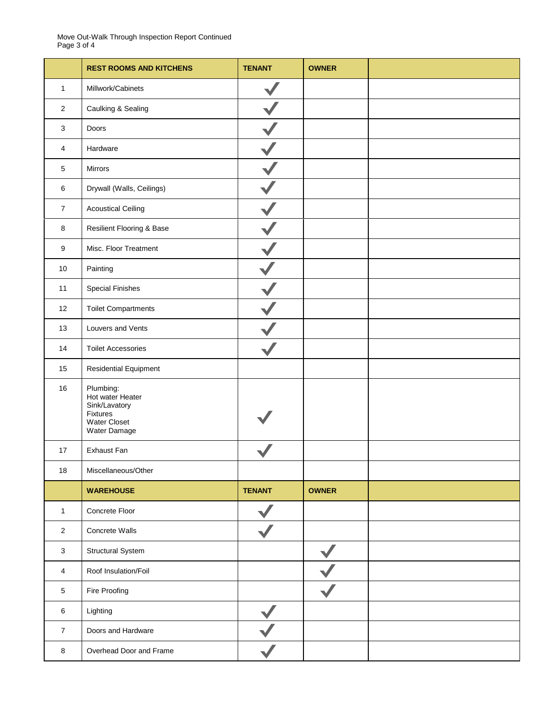Move Out-Walk Through Inspection Report Continued Page 3 of 4

|                | <b>REST ROOMS AND KITCHENS</b>                                                             | <b>TENANT</b> | <b>OWNER</b> |  |
|----------------|--------------------------------------------------------------------------------------------|---------------|--------------|--|
| $\mathbf{1}$   | Millwork/Cabinets                                                                          |               |              |  |
| 2              | Caulking & Sealing                                                                         |               |              |  |
| 3              | Doors                                                                                      |               |              |  |
| 4              | Hardware                                                                                   |               |              |  |
| 5              | Mirrors                                                                                    |               |              |  |
| 6              | Drywall (Walls, Ceilings)                                                                  |               |              |  |
| $\overline{7}$ | <b>Acoustical Ceiling</b>                                                                  |               |              |  |
| 8              | Resilient Flooring & Base                                                                  |               |              |  |
| 9              | Misc. Floor Treatment                                                                      |               |              |  |
| 10             | Painting                                                                                   |               |              |  |
| 11             | <b>Special Finishes</b>                                                                    |               |              |  |
| 12             | <b>Toilet Compartments</b>                                                                 |               |              |  |
| 13             | Louvers and Vents                                                                          |               |              |  |
| 14             | <b>Toilet Accessories</b>                                                                  |               |              |  |
| 15             | Residential Equipment                                                                      |               |              |  |
| 16             | Plumbing:<br>Hot water Heater<br>Sink/Lavatory<br>Fixtures<br>Water Closet<br>Water Damage |               |              |  |
| 17             | Exhaust Fan                                                                                |               |              |  |
| $18$           | Miscellaneous/Other                                                                        |               |              |  |
|                | <b>WAREHOUSE</b>                                                                           | <b>TENANT</b> | <b>OWNER</b> |  |
| $\mathbf{1}$   | Concrete Floor                                                                             |               |              |  |
| $\overline{2}$ | Concrete Walls                                                                             |               |              |  |
| 3              | Structural System                                                                          |               |              |  |
| 4              | Roof Insulation/Foil                                                                       |               |              |  |
| $\sqrt{5}$     | Fire Proofing                                                                              |               |              |  |
| $\,6\,$        | Lighting                                                                                   |               |              |  |
| $\overline{7}$ | Doors and Hardware                                                                         |               |              |  |
| $\bf 8$        | Overhead Door and Frame                                                                    |               |              |  |